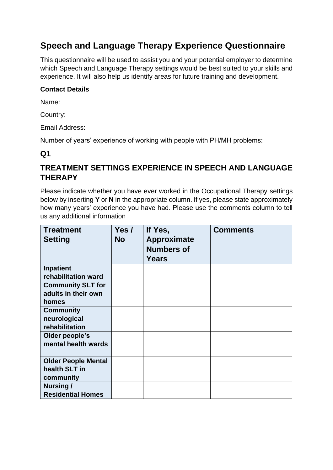## **Speech and Language Therapy Experience Questionnaire**

This questionnaire will be used to assist you and your potential employer to determine which Speech and Language Therapy settings would be best suited to your skills and experience. It will also help us identify areas for future training and development.

#### **Contact Details**

Name:

Country:

Email Address:

Number of years' experience of working with people with PH/MH problems:

#### **Q1**

#### **TREATMENT SETTINGS EXPERIENCE IN SPEECH AND LANGUAGE THERAPY**

Please indicate whether you have ever worked in the Occupational Therapy settings below by inserting **Y** or **N** in the appropriate column. If yes, please state approximately how many years' experience you have had. Please use the comments column to tell us any additional information

| <b>Treatment</b><br><b>Setting</b> | Yes /<br><b>No</b> | If Yes,<br>Approximate<br><b>Numbers of</b><br>Years | <b>Comments</b> |
|------------------------------------|--------------------|------------------------------------------------------|-----------------|
| <b>Inpatient</b>                   |                    |                                                      |                 |
| rehabilitation ward                |                    |                                                      |                 |
| <b>Community SLT for</b>           |                    |                                                      |                 |
| adults in their own                |                    |                                                      |                 |
| homes                              |                    |                                                      |                 |
| <b>Community</b>                   |                    |                                                      |                 |
| neurological                       |                    |                                                      |                 |
| rehabilitation                     |                    |                                                      |                 |
| Older people's                     |                    |                                                      |                 |
| mental health wards                |                    |                                                      |                 |
|                                    |                    |                                                      |                 |
| <b>Older People Mental</b>         |                    |                                                      |                 |
| health SLT in                      |                    |                                                      |                 |
| community                          |                    |                                                      |                 |
| Nursing/                           |                    |                                                      |                 |
| <b>Residential Homes</b>           |                    |                                                      |                 |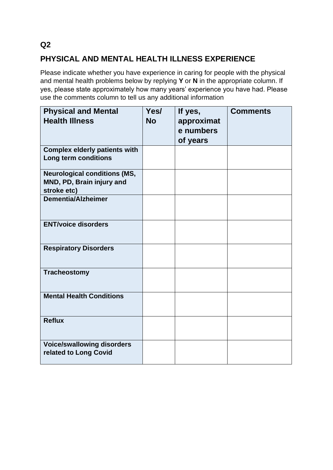#### **Q2**

### **PHYSICAL AND MENTAL HEALTH ILLNESS EXPERIENCE**

Please indicate whether you have experience in caring for people with the physical and mental health problems below by replying **Y** or **N** in the appropriate column. If yes, please state approximately how many years' experience you have had. Please use the comments column to tell us any additional information

| <b>Physical and Mental</b><br><b>Health Illness</b>                             | Yes/<br><b>No</b> | If yes,<br>approximat<br>e numbers<br>of years | <b>Comments</b> |
|---------------------------------------------------------------------------------|-------------------|------------------------------------------------|-----------------|
| <b>Complex elderly patients with</b><br>Long term conditions                    |                   |                                                |                 |
| <b>Neurological conditions (MS,</b><br>MND, PD, Brain injury and<br>stroke etc) |                   |                                                |                 |
| Dementia/Alzheimer                                                              |                   |                                                |                 |
| <b>ENT/voice disorders</b>                                                      |                   |                                                |                 |
| <b>Respiratory Disorders</b>                                                    |                   |                                                |                 |
| <b>Tracheostomy</b>                                                             |                   |                                                |                 |
| <b>Mental Health Conditions</b>                                                 |                   |                                                |                 |
| <b>Reflux</b>                                                                   |                   |                                                |                 |
| <b>Voice/swallowing disorders</b><br>related to Long Covid                      |                   |                                                |                 |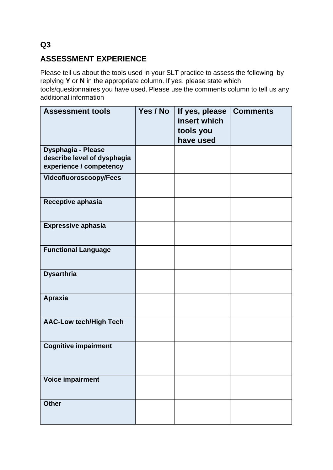#### **Q3**

### **ASSESSMENT EXPERIENCE**

Please tell us about the tools used in your SLT practice to assess the following by replying **Y** or **N** in the appropriate column. If yes, please state which tools/questionnaires you have used. Please use the comments column to tell us any additional information

| <b>Assessment tools</b>                                                             | Yes / No | If yes, please<br>insert which<br>tools you<br>have used | <b>Comments</b> |
|-------------------------------------------------------------------------------------|----------|----------------------------------------------------------|-----------------|
| <b>Dysphagia - Please</b><br>describe level of dysphagia<br>experience / competency |          |                                                          |                 |
| <b>Videofluoroscoopy/Fees</b>                                                       |          |                                                          |                 |
| Receptive aphasia                                                                   |          |                                                          |                 |
| <b>Expressive aphasia</b>                                                           |          |                                                          |                 |
| <b>Functional Language</b>                                                          |          |                                                          |                 |
| <b>Dysarthria</b>                                                                   |          |                                                          |                 |
| <b>Apraxia</b>                                                                      |          |                                                          |                 |
| <b>AAC-Low tech/High Tech</b>                                                       |          |                                                          |                 |
| <b>Cognitive impairment</b>                                                         |          |                                                          |                 |
| <b>Voice impairment</b>                                                             |          |                                                          |                 |
| <b>Other</b>                                                                        |          |                                                          |                 |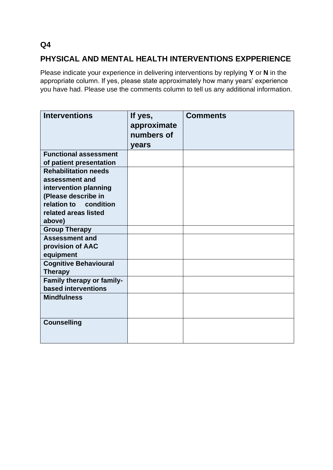## **PHYSICAL AND MENTAL HEALTH INTERVENTIONS EXPPERIENCE**

Please indicate your experience in delivering interventions by replying **Y** or **N** in the appropriate column. If yes, please state approximately how many years' experience you have had. Please use the comments column to tell us any additional information.

| <b>Interventions</b>                                                                                                                                     | If yes,<br>approximate<br>numbers of<br>years | <b>Comments</b> |
|----------------------------------------------------------------------------------------------------------------------------------------------------------|-----------------------------------------------|-----------------|
| <b>Functional assessment</b><br>of patient presentation                                                                                                  |                                               |                 |
| <b>Rehabilitation needs</b><br>assessment and<br>intervention planning<br>(Please describe in<br>relation to condition<br>related areas listed<br>above) |                                               |                 |
| <b>Group Therapy</b>                                                                                                                                     |                                               |                 |
| <b>Assessment and</b><br>provision of AAC<br>equipment                                                                                                   |                                               |                 |
| <b>Cognitive Behavioural</b><br><b>Therapy</b>                                                                                                           |                                               |                 |
| Family therapy or family-<br>based interventions                                                                                                         |                                               |                 |
| <b>Mindfulness</b>                                                                                                                                       |                                               |                 |
| <b>Counselling</b>                                                                                                                                       |                                               |                 |